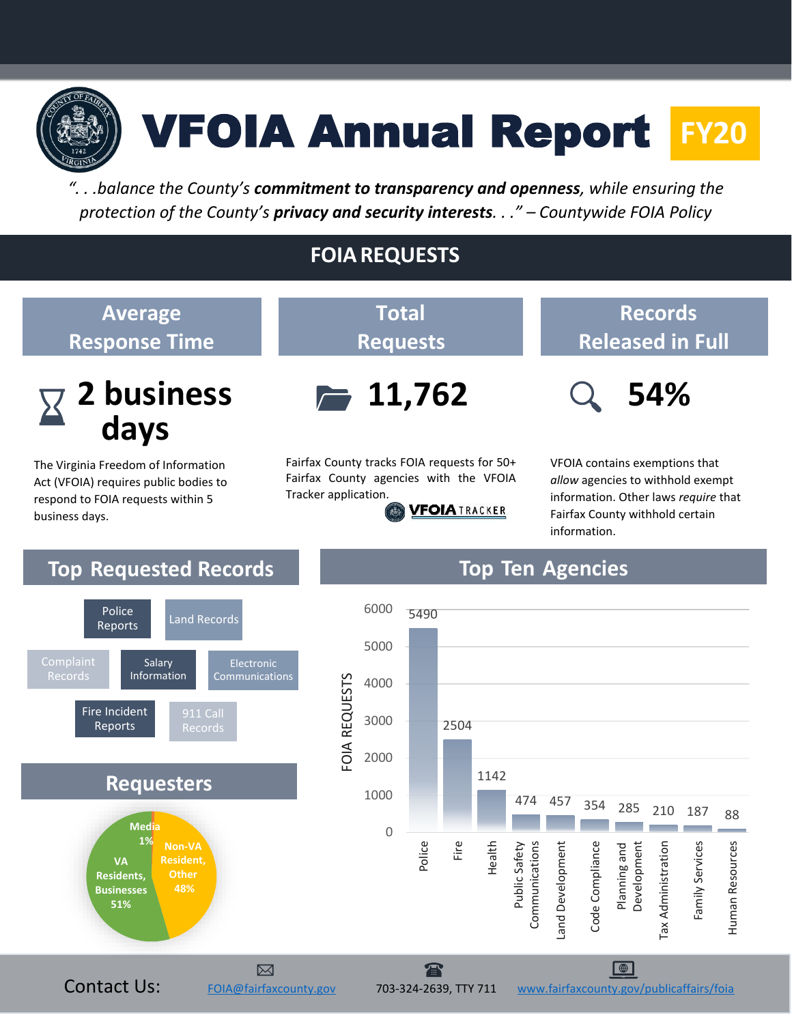

# VFOIA Annual Report **FY20**

*". . .balance the County's commitment to transparency and openness, while ensuring the protection of the County's privacy and security interests. . ." – Countywide FOIA Policy*

# **FOIAREQUESTS**



Fairfax County tracks FOIA requests for 50+ Fairfax County agencies with the VFOIA Tracker application. **VFOIATRACKER** 

# **Records Released in Full**



*allow* agencies to withhold exempt information. Other laws *require* that Fairfax County withhold certain information.



# **Top Requested Records Top Ten Agencies**

**Average**

**Response Time**

**2 business** 

The Virginia Freedom of Information Act (VFOIA) requires public bodies to respond to FOIA requests within 5

**days**

**days**

business days.